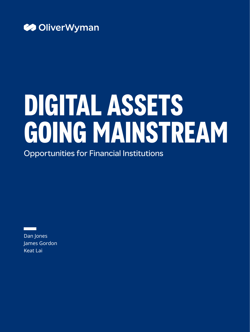

# **DIGITAL ASSETS GOING MAINSTREAM**

Opportunities for Financial Institutions

Dan Jones James Gordon Keat Lai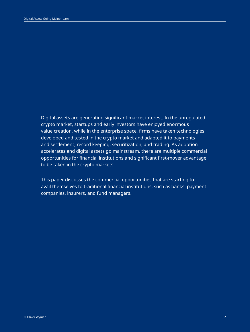Digital assets are generating significant market interest. In the unregulated crypto market, startups and early investors have enjoyed enormous value creation, while in the enterprise space, firms have taken technologies developed and tested in the crypto market and adapted it to payments and settlement, record keeping, securitization, and trading. As adoption accelerates and digital assets go mainstream, there are multiple commercial opportunities for financial institutions and significant first-mover advantage to be taken in the crypto markets.

This paper discusses the commercial opportunities that are starting to avail themselves to traditional financial institutions, such as banks, payment companies, insurers, and fund managers.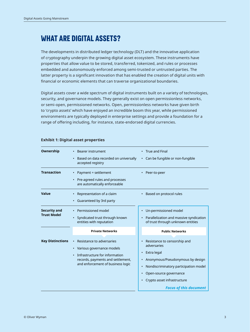# **WHAT ARE DIGITAL ASSETS?**

The developments in distributed ledger technology (DLT) and the innovative application of cryptography underpin the growing digital asset ecosystem. These instruments have properties that allow value to be stored, transferred, tokenized, and rules or processes embedded and autonomously enforced among semi-trusted or untrusted parties. The latter property is a significant innovation that has enabled the creation of digital units with financial or economic elements that can traverse organizational boundaries.

Digital assets cover a wide spectrum of digital instruments built on a variety of technologies, security, and governance models. They generally exist on open permissionless networks, or semi-open, permissioned networks. Open, permissionless networks have given birth to 'crypto assets' which have enjoyed an incredible boom this year, while permissioned environments are typically deployed in enterprise settings and provide a foundation for a range of offering including, for instance, state-endorsed digital currencies.

| Ownership<br><b>Transaction</b>           | Bearer instrument<br>Based on data recorded on universally<br>accepted registry<br>Payment = settlement<br>Pre-agreed rules and processes<br>are automatically enforceable      | • True and Final<br>• Can be fungible or non-fungible<br>Peer-to-peer                                                                                                                                                                                              |
|-------------------------------------------|---------------------------------------------------------------------------------------------------------------------------------------------------------------------------------|--------------------------------------------------------------------------------------------------------------------------------------------------------------------------------------------------------------------------------------------------------------------|
| Value                                     | Representation of a claim<br>Guaranteed by 3rd party                                                                                                                            | Based on protocol rules<br>٠                                                                                                                                                                                                                                       |
| <b>Security and</b><br><b>Trust Model</b> | Permissioned model<br>Syndicated trust through known<br>entities with reputation                                                                                                | Un-permissioned model<br>٠<br>• Parallelization and massive syndication<br>of trust through unknown entities                                                                                                                                                       |
|                                           | <b>Private Networks</b>                                                                                                                                                         | <b>Public Networks</b>                                                                                                                                                                                                                                             |
| <b>Key Distinctions</b>                   | Resistance to adversaries<br>Various governance models<br>$\bullet$<br>Infrastructure for information<br>records, payments and settlement,<br>and enforcement of business logic | Resistance to censorship and<br>adversaries<br>Extra legal<br>$\bullet$<br>Anonymous/Pseudonymous by design<br>٠<br>Nondiscriminatory participation model<br>٠<br>Open-source governance<br>٠<br>Crypto asset infrastructure<br>٠<br><b>Focus of this document</b> |

# **Exhibit 1: Digital asset properties**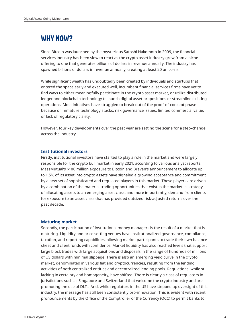# **WHY NOW?**

Since Bitcoin was launched by the mysterious Satoshi Nakomoto in 2009, the financial services industry has been slow to react as the crypto asset industry grew from a niche offering to one that generates billions of dollars in revenue annually. The industry has spawned billions of dollars in revenue annually, creating at least 20 unicorns.

While significant wealth has undoubtedly been created by individuals and startups that entered the space early and executed well, incumbent financial services firms have yet to find ways to either meaningfully participate in the crypto asset market, or utilize distributed ledger and blockchain technology to launch digital asset propositions or streamline existing operations. Most initiatives have struggled to break out of the proof-of-concept phase because of immature technology stacks, risk governance issues, limited commercial value, or lack of regulatory clarity.

However, four key developments over the past year are setting the scene for a step-change across the industry.

# **Institutional investors**

Firstly, institutional investors have started to play a role in the market and were largely responsible for the crypto bull market in early 2021, according to various analyst reports. MassMutual's \$100 million exposure to Bitcoin and Brevan's announcement to allocate up to 1.5% of its asset into crypto assets have signaled a growing acceptance and commitment by a new set of sophisticated and regulated players in this market. These players are driven by a combination of the material trading opportunities that exist in the market, a strategy of allocating assets to an emerging asset class, and more importantly, demand from clients for exposure to an asset class that has provided outsized risk-adjusted returns over the past decade.

#### **Maturing market**

Secondly, the participation of institutional money managers is the result of a market that is maturing. Liquidity and price setting venues have institutionalized governance, compliance, taxation, and reporting capabilities, allowing market participants to trade their own balance sheet and client funds with confidence. Market liquidity has also reached levels that support large block trades with large acquisitions and disposals in the range of hundreds of millions of US dollars with minimal slippage. There is also an emerging yield curve in the crypto market, denominated in various fiat and cryptocurrencies, resulting from the lending activities of both centralized entities and decentralized lending pools. Regulations, while still lacking in certainty and homogeneity, have shifted. There is clearly a class of regulators in jurisdictions such as Singapore and Switzerland that welcome the crypto industry and are promoting the use of DLTs. And, while regulators in the US have stepped up oversight of this industry, the message has still been consistently pro-innovation. This is evident with recent pronouncements by the Office of the Comptroller of the Currency (OCC) to permit banks to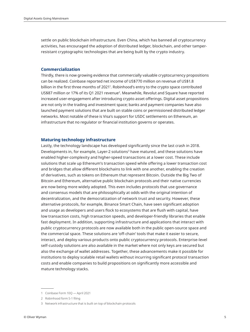settle on public blockchain infrastructure. Even China, which has banned all cryptocurrency activities, has encouraged the adoption of distributed ledger, blockchain, and other tamperresistant cryptographic technologies that are being built by the crypto industry.

# **Commercialization**

Thirdly, there is now growing evidence that commercially valuable cryptocurrency propositions can be realized. Coinbase reported net income of US\$770 million on revenue of US\$1.8 billion in the first three months of 20211 . Robinhood's entry to the crypto space contributed US\$87 million or 17% of its Q1 2021 revenue<sup>2</sup>. Meanwhile, Revolut and Square have reported increased user-engagement after introducing crypto asset offerings. Digital asset propositions are not only in the trading and investment space; banks and payment companies have also launched payment solutions that are built on stable coins or permissioned distributed ledger networks. Most notable of these is Visa's support for USDC settlements on Ethereum, an infrastructure that no regulator or financial institution governs or operates.

# **Maturing technology infrastructure**

Lastly, the technology landscape has developed significantly since the last crash in 2018. Developments in, for example, Layer-2 solutions<sup>3</sup> have matured, and these solutions have enabled higher-complexity and higher-speed transactions at a lower cost. These include solutions that scale up Ethereum's transaction speed while offering a lower transaction cost and bridges that allow different blockchains to link with one another, enabling the creation of derivatives, such as tokens on Ethereum that represent Bitcoin. Outside the Big Two of Bitcoin and Ethereum, alternative public blockchain protocols and their native currencies are now being more widely adopted. This even includes protocols that use governance and consensus models that are philosophically at odds with the original intention of decentralization, and the democratization of network trust and security. However, these alternative protocols, for example, Binance Smart Chain, have seen significant adoption and usage as developers and users flock to ecosystems that are flush with capital, have low transaction costs, high transaction speeds, and developer-friendly libraries that enable fast deployment. In addition, supporting infrastructure and applications that interact with public cryptocurrency protocols are now available both in the public open-source space and the commercial space. These solutions are 'off-chain' tools that make it easier to secure, interact, and deploy various products onto public cryptocurrency protocols. Enterprise-level self-custody solutions are also available in the market where not only keys are secured but also the exchange of wallet addresses. Together, these advancements make it possible for institutions to deploy scalable retail wallets without incurring significant protocol transaction costs and enable companies to build propositions on significantly more accessible and mature technology stacks.

<sup>1</sup> Coinbase Form 10Q — April 2021

<sup>2</sup> Robinhood form S-1 filing

<sup>3</sup> Network infrastructure that is built on top of blockchain protocols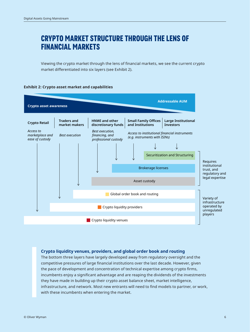# **CRYPTO MARKET STRUCTURE THROUGH THE LENS OF FINANCIAL MARKETS**

Viewing the crypto market through the lens of financial markets, we see the current crypto market differentiated into six layers (see Exhibit 2).

# **Exhibit 2: Crypto asset market and capabilities**



# **Crypto liquidity venues, providers, and global order book and routing**

The bottom three layers have largely developed away from regulatory oversight and the competitive pressures of large financial institutions over the last decade. However, given the pace of development and concentration of technical expertise among crypto firms, incumbents enjoy a significant advantage and are reaping the dividends of the investments they have made in building up their crypto asset balance sheet, market intelligence, infrastructure, and network. Most new entrants will need to find models to partner, or work, with these incumbents when entering the market.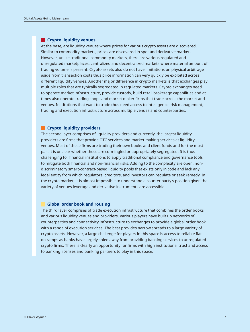# **Crypto liquidity venues**

At the base, are liquidity venues where prices for various crypto assets are discovered. Similar to commodity markets, prices are discovered in spot and derivative markets. However, unlike traditional commodity markets, there are various regulated and unregulated marketplaces, centralized and decentralized markets where material amount of trading volume is present. Crypto assets also do not have limitations on physical arbitrage aside from transaction costs thus price information can very quickly be exploited across different liquidity venues. Another major difference in crypto markets is that exchanges play multiple roles that are typically segregated in regulated markets. Crypto exchanges need to operate market infrastructure, provide custody, build retail brokerage capabilities and at times also operate trading shops and market maker firms that trade across the market and venues. Institutions that want to trade thus need access to intelligence, risk management, trading and execution infrastructure across multiple venues and counterparties.

# *Crypto liquidity providers*

The second layer comprises of liquidity providers and currently, the largest liquidity providers are firms that provide OTC services and market making services at liquidity venues. Most of these firms are trading their own books and client funds and for the most part it is unclear whether these are co-mingled or appropriately segregated. It is thus challenging for financial institutions to apply traditional compliance and governance tools to mitigate both financial and non-financial risks. Adding to the complexity are open, nondiscriminatory smart-contract-based liquidity pools that exists only in code and lack any legal entity from which regulators, creditors, and investors can regulate or seek remedy. In the crypto market, it is almost impossible to understand a counter party's position given the variety of venues leverage and derivative instruments are accessible.

# **Global order book and routing**

The third layer comprises of trade execution infrastructure that combines the order books and various liquidity venues and providers. Various players have built up networks of counterparties and connectivity infrastructure to exchanges to provide a global order book with a range of execution services. The best provides narrow spreads to a large variety of crypto assets. However, a large challenge for players in this space is access to reliable fiat on ramps as banks have largely shied away from providing banking services to unregulated crypto firms. There is clearly an opportunity for firms with high institutional trust and access to banking licenses and banking partners to play in this space.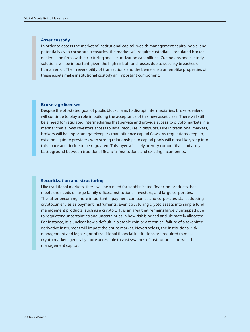## **Asset custody**

In order to access the market of institutional capital, wealth management capital pools, and potentially even corporate treasuries, the market will require custodians, regulated broker dealers, and firms with structuring and securitization capabilities. Custodians and custody solutions will be important given the high risk of fund losses due to security breaches or human error. The irreversibility of transactions and the bearer-instrument-like properties of these assets make institutional custody an important component.

## **Brokerage licenses**

Despite the oft-stated goal of public blockchains to disrupt intermediaries, broker-dealers will continue to play a role in building the acceptance of this new asset class. There will still be a need for regulated intermediaries that service and provide access to crypto markets in a manner that allows investors access to legal recourse in disputes. Like in traditional markets, brokers will be important gatekeepers that influence capital flows. As regulations keep up, existing liquidity providers with strong relationships to capital pools will most likely step into this space and decide to be regulated. This layer will likely be very competitive, and a key battleground between traditional financial institutions and existing incumbents.

# **Securitization and structuring**

Like traditional markets, there will be a need for sophisticated financing products that meets the needs of large family offices, institutional investors, and large corporates. The latter becoming more important if payment companies and corporates start adopting cryptocurrencies as payment instruments. Even structuring crypto assets into simple fund management products, such as a crypto ETF, is an area that remains largely untapped due to regulatory uncertainties and uncertainties in how risk is priced and ultimately allocated. For instance, it is unclear how a default in a stable coin or a technical failure of a tokenized derivative instrument will impact the entire market. Nevertheless, the institutional risk management and legal rigor of traditional financial institutions are required to make crypto markets generally more accessible to vast swathes of institutional and wealth management capital.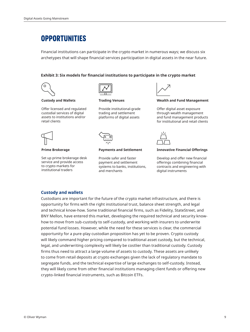# **OPPORTUNITIES**

Financial institutions can participate in the crypto market in numerous ways; we discuss six archetypes that will shape financial services participation in digital assets in the near future.

#### **Exhibit 3: Six models for financial institutions to participate in the crypto market**





#### **Custody and Wallets**

Offer licensed and regulated custodial services of digital assets to institutions and/or retail clients



#### **Trading Venues**

Provide institutional-grade trading and settlement platforms of digital assets



#### **Wealth and Fund Management**

Offer digital asset exposure through wealth management and fund management products for institutional and retail clients



#### **Prime Brokerage**

Set up prime brokerage desk service and provide access to crypto markets for institutional traders



#### **Payments and Settlement**

Provide safer and faster payment and settlement systems to banks, institutions, and merchants

**Innovative Financial Offerings**

Develop and offer new financial offerings combining financial contracts and engineering with digital instruments

# **Custody and wallets**

Custodians are important for the future of the crypto market infrastructure, and there is opportunity for firms with the right institutional trust, balance sheet strength, and legal and technical know-how. Some traditional financial firms, such as Fidelity, StateStreet, and BNY Mellon, have entered this market, developing the required technical and security knowhow to move from sub-custody to self-custody, and working with insurers to underwrite potential fund losses. However, while the need for these services is clear, the commercial opportunity for a pure-play custodian proposition has yet to be proven. Crypto custody will likely command higher pricing compared to traditional asset custody, but the technical, legal, and underwriting complexity will likely be costlier than traditional custody. Custody firms thus need to attract a large volume of assets to custody. These assets are unlikely to come from retail deposits at crypto exchanges given the lack of regulatory mandate to segregate funds, and the technical expertise of large exchanges to self-custody. Instead, they will likely come from other financial institutions managing client funds or offering new crypto-linked financial instruments, such as Bitcoin ETFs.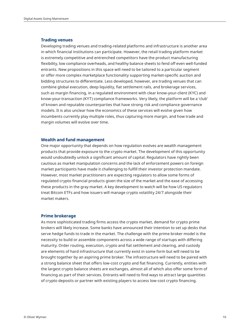# **Trading venues**

Developing trading venues and trading-related platforms and infrastructure is another area in which financial institutions can participate. However, the retail trading platform market is extremely competitive and entrenched competitors have the product manufacturing flexibility, low compliance overheads, and healthy balance sheets to fend off even well-funded entrants. New propositions in this space will need to be tailored to a particular segment or offer more complex marketplace functionality supporting market-specific auction and bidding structures to differentiate. Less developed, however, are trading venues that can combine global execution, deep liquidity, fiat settlement rails, and brokerage services, such as margin financing, in a regulated environment with clear know-your-client (KYC) and know-your-transaction (KYT) compliance frameworks. Very likely, the platform will be a 'club' of known and reputable counterparties that have strong risk and compliance governance models. It is also unclear how the economics of these services will evolve given how incumbents currently play multiple roles, thus capturing more margin, and how trade and margin volumes will evolve over time.

## **Wealth and fund management**

One major opportunity that depends on how regulation evolves are wealth management products that provide exposure to the crypto market. The development of this opportunity would undoubtedly unlock a significant amount of capital. Regulators have rightly been cautious as market manipulation concerns and the lack of enforcement powers on foreign market participants have made it challenging to fulfill their investor protection mandate. However, most market practitioners are expecting regulators to allow some forms of regulated crypto financial products given the size of the market and the ease of accessing these products in the gray market. A key development to watch will be how US regulators treat Bitcoin ETFs and how issuers will manage crypto volatility 24/7 alongside their market makers.

#### **Prime brokerage**

As more sophisticated trading firms access the crypto market, demand for crypto prime brokers will likely increase. Some banks have announced their intention to set up desks that serve hedge funds to trade in the market. The challenge with the prime broker model is the necessity to build or assemble components across a wide range of startups with differing maturity. Order routing, execution, crypto and fiat settlement and clearing, and custody are elements of hard infrastructure that currently exist in some form but will need to be brought together by an aspiring prime broker. The infrastructure will need to be paired with a strong balance sheet that offers low-cost crypto and fiat financing. Currently, entities with the largest crypto balance sheets are exchanges, almost all of which also offer some form of financing as part of their services. Entrants will need to find ways to attract large quantities of crypto deposits or partner with existing players to access low-cost crypto financing.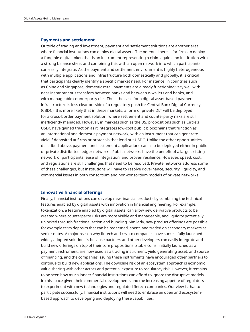# **Payments and settlement**

Outside of trading and investment, payment and settlement solutions are another area where financial institutions can deploy digital assets. The potential here is for firms to deploy a fungible digital token that is an instrument representing a claim against an institution with a strong balance sheet and combining this with an open network into which participants can easily integrate. As the payment and settlement environment is highly heterogeneous with multiple applications and infrastructure both domestically and globally, it is critical that participants clearly identify a specific market need. For instance, in countries such as China and Singapore, domestic retail payments are already functioning very well with near instantaneous transfers between banks and between e-wallets and banks, and with manageable counterparty risk. Thus, the case for a digital asset-based payment infrastructure is less clear outside of a regulatory push for Central Bank Digital Currency (CBDC). It is more likely that in these markets, a form of private DLT will be deployed for a cross-border payment solution, where settlement and counterparty risks are still inefficiently managed. However, in markets such as the US, propositions such as Circle's USDC have gained traction as it integrates low-cost public blockchains that function as an international and domestic payment network, with an instrument that can generate yield if deposited at firms or protocols that lend out USDC. Unlike the other opportunities described above, payment and settlement applications can also be deployed either in public or private distributed ledger networks. Public networks have the benefit of a large existing network of participants, ease of integration, and proven resilience. However, speed, cost, and regulations are still challenges that need to be resolved. Private networks address some of these challenges, but institutions will have to resolve governance, security, liquidity, and commercial issues in both consortium and non-consortium models of private networks.

## **Innovative financial offerings**

Finally, financial institutions can develop new financial products by combining the technical features enabled by digital assets with innovation in financial engineering. For example, tokenization, a feature enabled by digital assets, can allow new derivative products to be created where counterparty risks are more visible and manageable, and liquidity potentially unlocked through fractionalization and bundling. Similarly, new product offerings are possible, for example term deposits that can be redeemed, spent, and traded on secondary markets as senior notes. A major reason why fintech and crypto companies have successfully launched widely adopted solutions is because partners and other developers can easily integrate and build new offerings on top of their core propositions. Stable coins, initially launched as a payment instrument, are now used as a trading instrument, yield generating asset, and source of financing, and the companies issuing these instruments have encouraged other partners to continue to build new applications. The downside risk of an ecosystem approach is economic value sharing with other actors and potential exposure to regulatory risk. However, it remains to be seen how much longer financial institutions can afford to ignore the disruptive models in this space given their commercial developments and the increasing appetite of regulators to experiment with new technologies and regulated fintech companies. Our view is that to participate successfully, financial institutions will need to embrace an open and ecosystembased approach to developing and deploying these capabilities.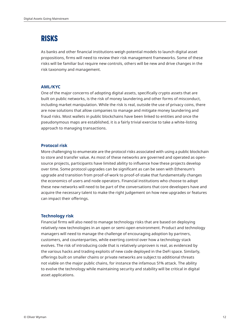# **RISKS**

As banks and other financial institutions weigh potential models to launch digital asset propositions, firms will need to review their risk management frameworks. Some of these risks will be familiar but require new controls, others will be new and drive changes in the risk taxonomy and management.

# **AML/KYC**

One of the major concerns of adopting digital assets, specifically crypto assets that are built on public networks, is the risk of money laundering and other forms of misconduct, including market manipulation. While the risk is real, outside the use of privacy coins, there are now solutions that allow companies to manage and mitigate money laundering and fraud risks. Most wallets in public blockchains have been linked to entities and once the pseudonymous maps are established, it is a fairly trivial exercise to take a white-listing approach to managing transactions.

# **Protocol risk**

More challenging to enumerate are the protocol risks associated with using a public blockchain to store and transfer value. As most of these networks are governed and operated as opensource projects, participants have limited ability to influence how these projects develop over time. Some protocol upgrades can be significant as can be seen with Ethereum's upgrade and transition from proof-of-work to proof-of-stake that fundamentally changes the economics of users and node operators. Financial institutions who choose to adopt these new networks will need to be part of the conversations that core developers have and acquire the necessary talent to make the right judgement on how new upgrades or features can impact their offerings.

#### **Technology risk**

Financial firms will also need to manage technology risks that are based on deploying relatively new technologies in an open or semi-open environment. Product and technology managers will need to manage the challenge of encouraging adoption by partners, customers, and counterparties, while exerting control over how a technology stack evolves. The risk of introducing code that is relatively unproven is real, as evidenced by the various hacks and trading exploits of new code deployed in the DeFi space. Similarly, offerings built on smaller chains or private networks are subject to additional threats not viable on the major public chains, for instance the infamous 51% attack. The ability to evolve the technology while maintaining security and stability will be critical in digital asset applications.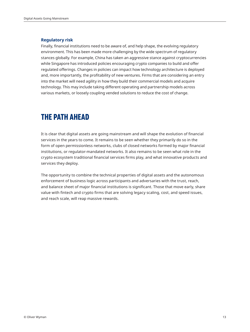# **Regulatory risk**

Finally, financial institutions need to be aware of, and help shape, the evolving regulatory environment. This has been made more challenging by the wide spectrum of regulatory stances globally. For example, China has taken an aggressive stance against cryptocurrencies while Singapore has introduced policies encouraging crypto companies to build and offer regulated offerings. Changes in policies can impact how technology architecture is deployed and, more importantly, the profitability of new ventures. Firms that are considering an entry into the market will need agility in how they build their commercial models and acquire technology. This may include taking different operating and partnership models across various markets, or loosely coupling vended solutions to reduce the cost of change.

# **THE PATH AHEAD**

It is clear that digital assets are going mainstream and will shape the evolution of financial services in the years to come. It remains to be seen whether they primarily do so in the form of open permissionless networks, clubs of closed networks formed by major financial institutions, or regulator-mandated networks. It also remains to be seen what role in the crypto ecosystem traditional financial services firms play, and what innovative products and services they deploy.

The opportunity to combine the technical properties of digital assets and the autonomous enforcement of business logic across participants and adversaries with the trust, reach, and balance sheet of major financial institutions is significant. Those that move early, share value with fintech and crypto firms that are solving legacy scaling, cost, and speed issues, and reach scale, will reap massive rewards.